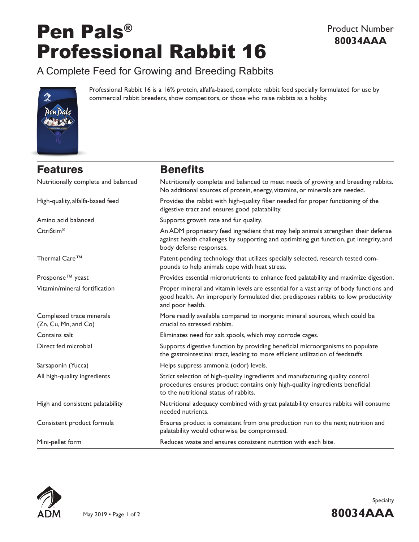# Pen Pals® Professional Rabbit 16

# A Complete Feed for Growing and Breeding Rabbits



Professional Rabbit 16 is a 16% protein, alfalfa-based, complete rabbit feed specially formulated for use by commercial rabbit breeders, show competitors, or those who raise rabbits as a hobby.

# **Features Benefits**

| Nutritionally complete and balanced              | Nutritionally complete and balanced to meet needs of growing and breeding rabbits.<br>No additional sources of protein, energy, vitamins, or minerals are needed.                                       |
|--------------------------------------------------|---------------------------------------------------------------------------------------------------------------------------------------------------------------------------------------------------------|
| High-quality, alfalfa-based feed                 | Provides the rabbit with high-quality fiber needed for proper functioning of the<br>digestive tract and ensures good palatability.                                                                      |
| Amino acid balanced                              | Supports growth rate and fur quality.                                                                                                                                                                   |
| CitriStim <sup>®</sup>                           | An ADM proprietary feed ingredient that may help animals strengthen their defense<br>against health challenges by supporting and optimizing gut function, gut integrity, and<br>body defense responses. |
| Thermal Care <sup>™</sup>                        | Patent-pending technology that utilizes specially selected, research tested com-<br>pounds to help animals cope with heat stress.                                                                       |
| Prosponse <sup>™</sup> yeast                     | Provides essential micronutrients to enhance feed palatability and maximize digestion.                                                                                                                  |
| Vitamin/mineral fortification                    | Proper mineral and vitamin levels are essential for a vast array of body functions and<br>good health. An improperly formulated diet predisposes rabbits to low productivity<br>and poor health.        |
| Complexed trace minerals<br>(Zn, Cu, Mn, and Co) | More readily available compared to inorganic mineral sources, which could be<br>crucial to stressed rabbits.                                                                                            |
| Contains salt                                    | Eliminates need for salt spools, which may corrode cages.                                                                                                                                               |
| Direct fed microbial                             | Supports digestive function by providing beneficial microorganisms to populate<br>the gastrointestinal tract, leading to more efficient utilization of feedstuffs.                                      |
| Sarsaponin (Yucca)                               | Helps suppress ammonia (odor) levels.                                                                                                                                                                   |
| All high-quality ingredients                     | Strict selection of high-quality ingredients and manufacturing quality control<br>procedures ensures product contains only high-quality ingredients beneficial<br>to the nutritional status of rabbits. |
| High and consistent palatability                 | Nutritional adequacy combined with great palatability ensures rabbits will consume<br>needed nutrients.                                                                                                 |
| Consistent product formula                       | Ensures product is consistent from one production run to the next; nutrition and<br>palatability would otherwise be compromised.                                                                        |
| Mini-pellet form                                 | Reduces waste and ensures consistent nutrition with each bite.                                                                                                                                          |



Specialty **80034AAA**